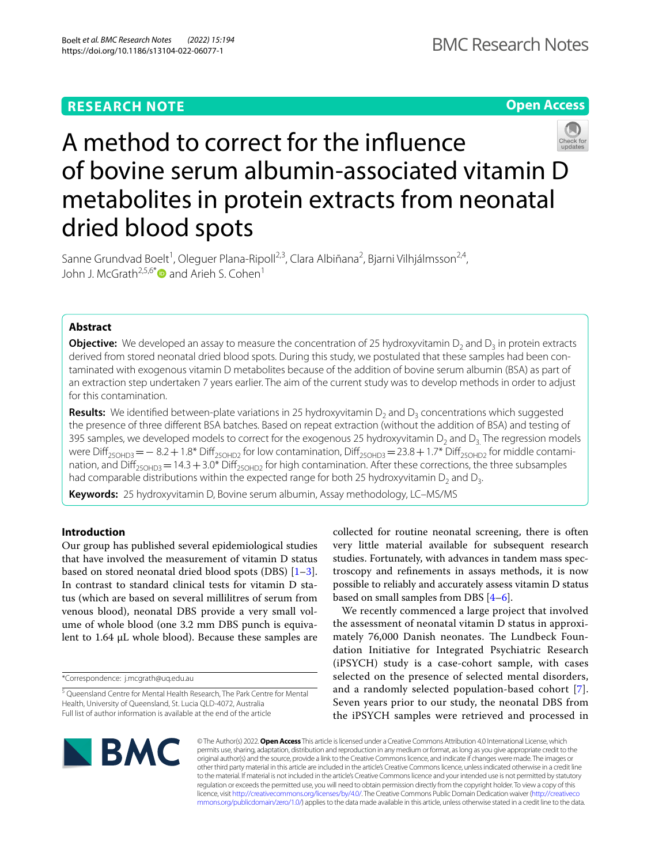# **RESEARCH NOTE**

**Open Access**



# A method to correct for the infuence of bovine serum albumin-associated vitamin D metabolites in protein extracts from neonatal dried blood spots

Sanne Grundvad Boelt<sup>1</sup>, Oleguer Plana-Ripoll<sup>2,3</sup>, Clara Albiñana<sup>2</sup>, Bjarni Vilhjálmsson<sup>2,4</sup>, John J. McGrath<sup>2,5,6\*</sup> $\bullet$  and Arieh S. Cohen<sup>1</sup>

# **Abstract**

**Objective:** We developed an assay to measure the concentration of 25 hydroxyvitamin  $D_2$  and  $D_3$  in protein extracts derived from stored neonatal dried blood spots. During this study, we postulated that these samples had been contaminated with exogenous vitamin D metabolites because of the addition of bovine serum albumin (BSA) as part of an extraction step undertaken 7 years earlier. The aim of the current study was to develop methods in order to adjust for this contamination.

**Results:** We identified between-plate variations in 25 hydroxyvitamin  $D_2$  and  $D_3$  concentrations which suggested the presence of three diferent BSA batches. Based on repeat extraction (without the addition of BSA) and testing of 395 samples, we developed models to correct for the exogenous 25 hydroxyvitamin  $D_2$  and  $D_3$ . The regression models were Diff<sub>25OHD3</sub> =  $-$  8.2 + 1.8\* Diff<sub>25OHD2</sub> for low contamination, Diff<sub>25OHD3</sub> = 23.8 + 1.7\* Diff<sub>25OHD2</sub> for middle contamination, and Diff<sub>25OHD3</sub> = 14.3 + 3.0\* Diff<sub>25OHD2</sub> for high contamination. After these corrections, the three subsamples had comparable distributions within the expected range for both 25 hydroxyvitamin  $D_2$  and  $D_3$ .

**Keywords:** 25 hydroxyvitamin D, Bovine serum albumin, Assay methodology, LC–MS/MS

# **Introduction**

Our group has published several epidemiological studies that have involved the measurement of vitamin D status based on stored neonatal dried blood spots (DBS) [\[1](#page-5-0)[–3](#page-5-1)]. In contrast to standard clinical tests for vitamin D status (which are based on several millilitres of serum from venous blood), neonatal DBS provide a very small volume of whole blood (one 3.2 mm DBS punch is equivalent to 1.64 µL whole blood). Because these samples are

\*Correspondence: j.mcgrath@uq.edu.au

collected for routine neonatal screening, there is often very little material available for subsequent research studies. Fortunately, with advances in tandem mass spectroscopy and refnements in assays methods, it is now possible to reliably and accurately assess vitamin D status based on small samples from DBS [\[4](#page-5-2)[–6](#page-5-3)].

We recently commenced a large project that involved the assessment of neonatal vitamin D status in approximately 76,000 Danish neonates. The Lundbeck Foundation Initiative for Integrated Psychiatric Research (iPSYCH) study is a case-cohort sample, with cases selected on the presence of selected mental disorders, and a randomly selected population-based cohort [[7](#page-5-4)]. Seven years prior to our study, the neonatal DBS from the iPSYCH samples were retrieved and processed in



© The Author(s) 2022. **Open Access** This article is licensed under a Creative Commons Attribution 4.0 International License, which permits use, sharing, adaptation, distribution and reproduction in any medium or format, as long as you give appropriate credit to the original author(s) and the source, provide a link to the Creative Commons licence, and indicate if changes were made. The images or other third party material in this article are included in the article's Creative Commons licence, unless indicated otherwise in a credit line to the material. If material is not included in the article's Creative Commons licence and your intended use is not permitted by statutory regulation or exceeds the permitted use, you will need to obtain permission directly from the copyright holder. To view a copy of this licence, visit [http://creativecommons.org/licenses/by/4.0/.](http://creativecommons.org/licenses/by/4.0/) The Creative Commons Public Domain Dedication waiver ([http://creativeco](http://creativecommons.org/publicdomain/zero/1.0/) [mmons.org/publicdomain/zero/1.0/](http://creativecommons.org/publicdomain/zero/1.0/)) applies to the data made available in this article, unless otherwise stated in a credit line to the data.

<sup>&</sup>lt;sup>5</sup> Queensland Centre for Mental Health Research, The Park Centre for Mental Health, University of Queensland, St. Lucia QLD‑4072, Australia Full list of author information is available at the end of the article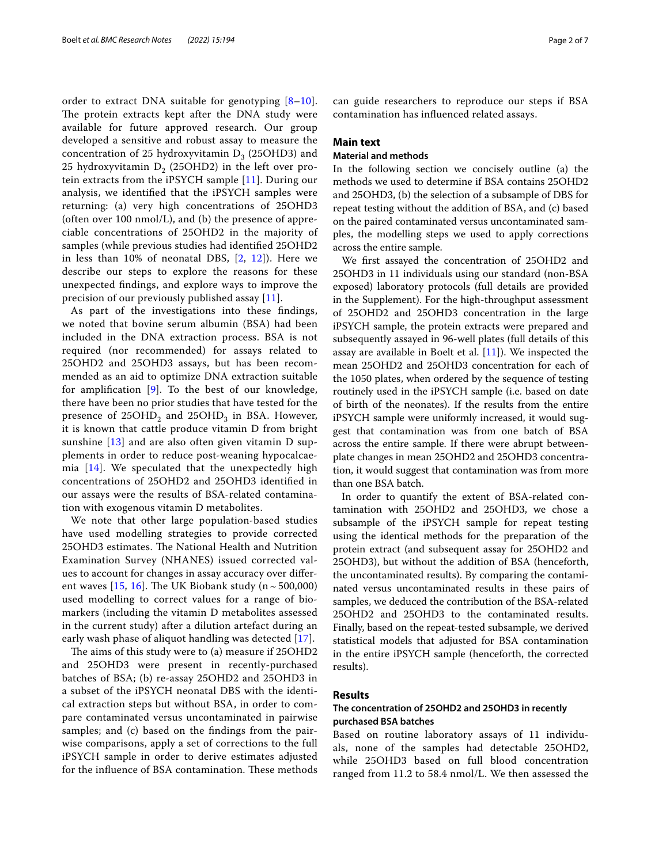order to extract DNA suitable for genotyping  $[8-10]$  $[8-10]$ . The protein extracts kept after the DNA study were available for future approved research. Our group developed a sensitive and robust assay to measure the concentration of 25 hydroxyvitamin  $D_3$  (25OHD3) and 25 hydroxyvitamin  $D_2$  (25OHD2) in the left over protein extracts from the iPSYCH sample [[11\]](#page-5-7). During our analysis, we identifed that the iPSYCH samples were returning: (a) very high concentrations of 25OHD3 (often over 100 nmol/L), and (b) the presence of appreciable concentrations of 25OHD2 in the majority of samples (while previous studies had identifed 25OHD2 in less than 10% of neonatal DBS, [[2](#page-5-8), [12](#page-5-9)]). Here we describe our steps to explore the reasons for these unexpected fndings, and explore ways to improve the precision of our previously published assay [[11](#page-5-7)].

As part of the investigations into these fndings, we noted that bovine serum albumin (BSA) had been included in the DNA extraction process. BSA is not required (nor recommended) for assays related to 25OHD2 and 25OHD3 assays, but has been recommended as an aid to optimize DNA extraction suitable for amplifcation [[9\]](#page-5-10). To the best of our knowledge, there have been no prior studies that have tested for the presence of  $25OHD<sub>2</sub>$  and  $25OHD<sub>3</sub>$  in BSA. However, it is known that cattle produce vitamin D from bright sunshine [[13](#page-5-11)] and are also often given vitamin D supplements in order to reduce post-weaning hypocalcaemia [[14\]](#page-5-12). We speculated that the unexpectedly high concentrations of 25OHD2 and 25OHD3 identifed in our assays were the results of BSA-related contamination with exogenous vitamin D metabolites.

We note that other large population-based studies have used modelling strategies to provide corrected 25OHD3 estimates. The National Health and Nutrition Examination Survey (NHANES) issued corrected values to account for changes in assay accuracy over difer-ent waves [[15](#page-5-13), [16\]](#page-5-14). The UK Biobank study (n  $\sim$  500,000) used modelling to correct values for a range of biomarkers (including the vitamin D metabolites assessed in the current study) after a dilution artefact during an early wash phase of aliquot handling was detected [[17\]](#page-5-15).

The aims of this study were to (a) measure if  $25OHD2$ and 25OHD3 were present in recently-purchased batches of BSA; (b) re-assay 25OHD2 and 25OHD3 in a subset of the iPSYCH neonatal DBS with the identical extraction steps but without BSA, in order to compare contaminated versus uncontaminated in pairwise samples; and (c) based on the fndings from the pairwise comparisons, apply a set of corrections to the full iPSYCH sample in order to derive estimates adjusted for the influence of BSA contamination. These methods can guide researchers to reproduce our steps if BSA contamination has infuenced related assays.

### **Main text**

#### **Material and methods**

In the following section we concisely outline (a) the methods we used to determine if BSA contains 25OHD2 and 25OHD3, (b) the selection of a subsample of DBS for repeat testing without the addition of BSA, and (c) based on the paired contaminated versus uncontaminated samples, the modelling steps we used to apply corrections across the entire sample.

We frst assayed the concentration of 25OHD2 and 25OHD3 in 11 individuals using our standard (non-BSA exposed) laboratory protocols (full details are provided in the Supplement). For the high-throughput assessment of 25OHD2 and 25OHD3 concentration in the large iPSYCH sample, the protein extracts were prepared and subsequently assayed in 96-well plates (full details of this assay are available in Boelt et al. [[11\]](#page-5-7)). We inspected the mean 25OHD2 and 25OHD3 concentration for each of the 1050 plates, when ordered by the sequence of testing routinely used in the iPSYCH sample (i.e. based on date of birth of the neonates). If the results from the entire iPSYCH sample were uniformly increased, it would suggest that contamination was from one batch of BSA across the entire sample. If there were abrupt betweenplate changes in mean 25OHD2 and 25OHD3 concentration, it would suggest that contamination was from more than one BSA batch.

In order to quantify the extent of BSA-related contamination with 25OHD2 and 25OHD3, we chose a subsample of the iPSYCH sample for repeat testing using the identical methods for the preparation of the protein extract (and subsequent assay for 25OHD2 and 25OHD3), but without the addition of BSA (henceforth, the uncontaminated results). By comparing the contaminated versus uncontaminated results in these pairs of samples, we deduced the contribution of the BSA-related 25OHD2 and 25OHD3 to the contaminated results. Finally, based on the repeat-tested subsample, we derived statistical models that adjusted for BSA contamination in the entire iPSYCH sample (henceforth, the corrected results).

#### **Results**

# **The concentration of 25OHD2 and 25OHD3 in recently purchased BSA batches**

Based on routine laboratory assays of 11 individuals, none of the samples had detectable 25OHD2, while 25OHD3 based on full blood concentration ranged from 11.2 to 58.4 nmol/L. We then assessed the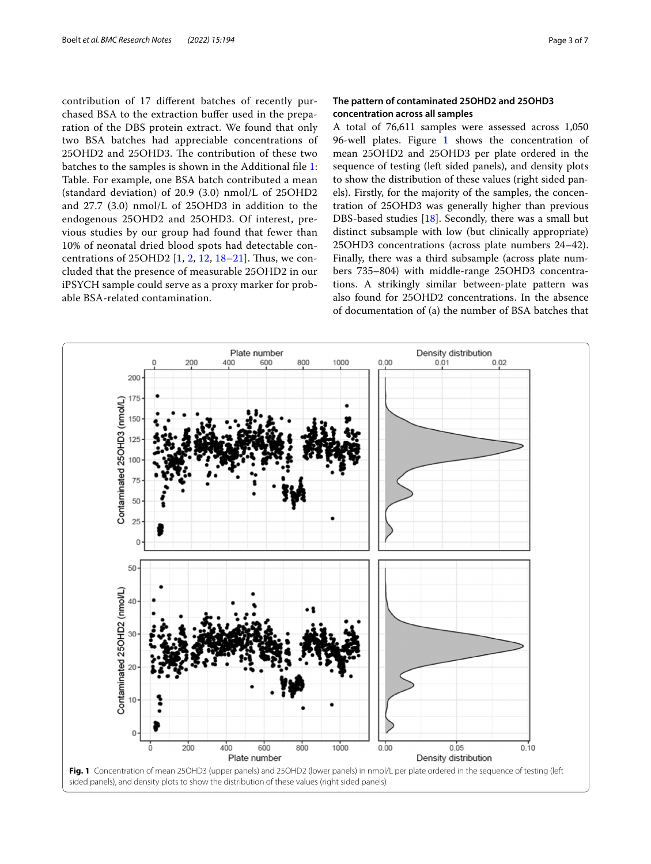contribution of 17 diferent batches of recently purchased BSA to the extraction bufer used in the preparation of the DBS protein extract. We found that only two BSA batches had appreciable concentrations of 25OHD2 and 25OHD3. The contribution of these two batches to the samples is shown in the Additional fle [1](#page-4-0): Table. For example, one BSA batch contributed a mean (standard deviation) of 20.9 (3.0) nmol/L of 25OHD2 and 27.7 (3.0) nmol/L of 25OHD3 in addition to the endogenous 25OHD2 and 25OHD3. Of interest, previous studies by our group had found that fewer than 10% of neonatal dried blood spots had detectable concentrations of  $25OHD2$  [[1,](#page-5-0) [2,](#page-5-8) [12,](#page-5-9) [18](#page-5-16)[–21](#page-6-0)]. Thus, we concluded that the presence of measurable 25OHD2 in our iPSYCH sample could serve as a proxy marker for probable BSA-related contamination.

# **The pattern of contaminated 25OHD2 and 25OHD3 concentration across all samples**

A total of 76,611 samples were assessed across 1,050 96-well plates. Figure [1](#page-2-0) shows the concentration of mean 25OHD2 and 25OHD3 per plate ordered in the sequence of testing (left sided panels), and density plots to show the distribution of these values (right sided panels). Firstly, for the majority of the samples, the concentration of 25OHD3 was generally higher than previous DBS-based studies [[18](#page-5-16)]. Secondly, there was a small but distinct subsample with low (but clinically appropriate) 25OHD3 concentrations (across plate numbers 24–42). Finally, there was a third subsample (across plate numbers 735–804) with middle-range 25OHD3 concentrations. A strikingly similar between-plate pattern was also found for 25OHD2 concentrations. In the absence of documentation of (a) the number of BSA batches that

<span id="page-2-0"></span>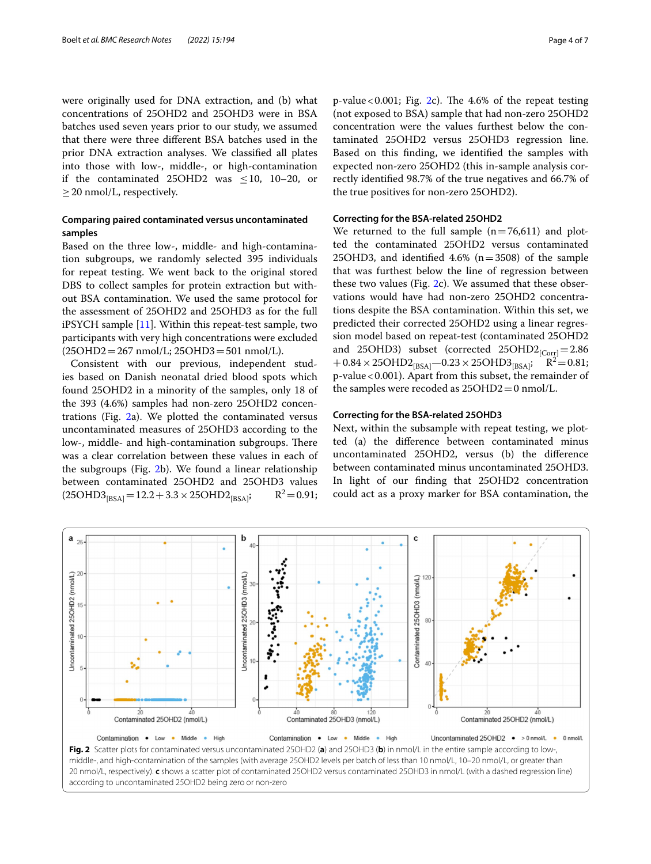were originally used for DNA extraction, and (b) what concentrations of 25OHD2 and 25OHD3 were in BSA batches used seven years prior to our study, we assumed that there were three diferent BSA batches used in the prior DNA extraction analyses. We classifed all plates into those with low-, middle-, or high-contamination if the contaminated 25OHD2 was  $\leq$ 10, 10–20, or ≥20 nmol/L, respectively.

# **Comparing paired contaminated versus uncontaminated samples**

Based on the three low-, middle- and high-contamination subgroups, we randomly selected 395 individuals for repeat testing. We went back to the original stored DBS to collect samples for protein extraction but without BSA contamination. We used the same protocol for the assessment of 25OHD2 and 25OHD3 as for the full iPSYCH sample [[11\]](#page-5-7). Within this repeat-test sample, two participants with very high concentrations were excluded (25OHD2=267 nmol/L; 25OHD3=501 nmol/L).

Consistent with our previous, independent studies based on Danish neonatal dried blood spots which found 25OHD2 in a minority of the samples, only 18 of the 393 (4.6%) samples had non-zero 25OHD2 concentrations (Fig. [2](#page-3-0)a). We plotted the contaminated versus uncontaminated measures of 25OHD3 according to the low-, middle- and high-contamination subgroups. There was a clear correlation between these values in each of the subgroups (Fig. [2b](#page-3-0)). We found a linear relationship between contaminated 25OHD2 and 25OHD3 values  $(25OHD3<sub>[BSA]</sub> = 12.2 + 3.3 \times 25OHD2<sub>[BSA]</sub>;$   $R<sup>2</sup> = 0.91;$  p-value <  $0.001$ ; Fig. [2](#page-3-0)c). The 4.6% of the repeat testing (not exposed to BSA) sample that had non-zero 25OHD2 concentration were the values furthest below the contaminated 25OHD2 versus 25OHD3 regression line. Based on this fnding, we identifed the samples with expected non-zero 25OHD2 (this in-sample analysis correctly identifed 98.7% of the true negatives and 66.7% of the true positives for non-zero 25OHD2).

# **Correcting for the BSA‑related 25OHD2**

We returned to the full sample  $(n=76,611)$  and plotted the contaminated 25OHD2 versus contaminated 25OHD3, and identified  $4.6\%$  (n=3508) of the sample that was furthest below the line of regression between these two values (Fig. [2](#page-3-0)c). We assumed that these observations would have had non-zero 25OHD2 concentrations despite the BSA contamination. Within this set, we predicted their corrected 25OHD2 using a linear regression model based on repeat-test (contaminated 25OHD2 and 25OHD3) subset (corrected  $25OHD2<sub>[Corr]</sub> = 2.86$  $+0.84 \times 25 \text{OH} \text{D2}_{\text{[BSA]}} -0.23 \times 25 \text{OH} \text{D3}_{\text{[BSA]}}; \quad \text{R}^2 = 0.81;$ p-value<0.001). Apart from this subset, the remainder of the samples were recoded as 25OHD2=0 nmol/L.

#### **Correcting for the BSA‑related 25OHD3**

Next, within the subsample with repeat testing, we plotted (a) the diference between contaminated minus uncontaminated 25OHD2, versus (b) the diference between contaminated minus uncontaminated 25OHD3. In light of our fnding that 25OHD2 concentration could act as a proxy marker for BSA contamination, the

<span id="page-3-0"></span>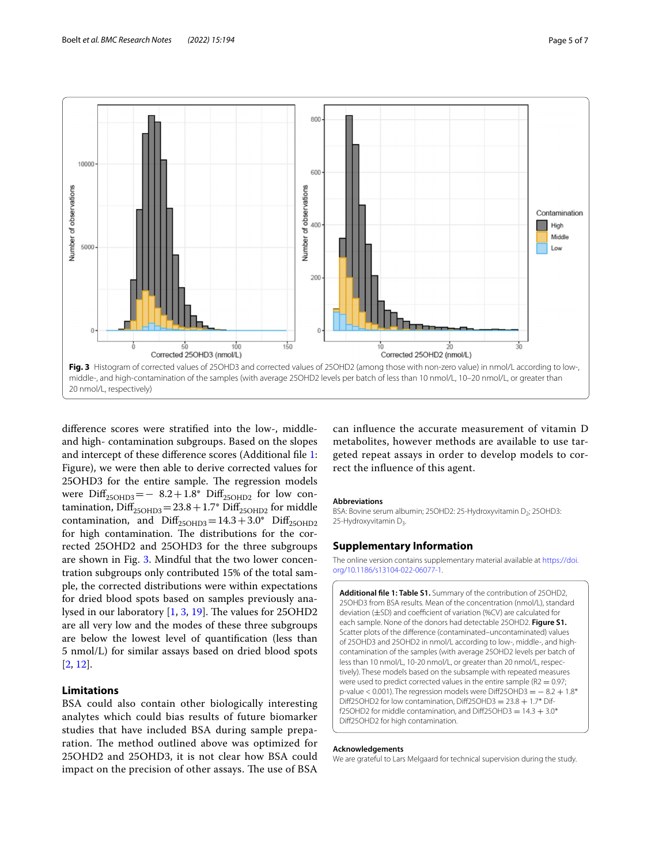

<span id="page-4-1"></span>diference scores were stratifed into the low-, middleand high- contamination subgroups. Based on the slopes and intercept of these diference scores (Additional fle [1](#page-4-0): Figure), we were then able to derive corrected values for 25OHD3 for the entire sample. The regression models were  $Diff_{25OHD3} = -8.2 + 1.8$ <sup>\*</sup> Diff<sub>25OHD2</sub> for low contamination,  $\text{Diff}_{25\text{OHD3}}=23.8+1.7^* \text{Diff}_{25\text{OHD2}}$  for middle contamination, and  $\text{Diff}_{25\text{OHD3}}=14.3+3.0^*$   $\text{Diff}_{25\text{OHD2}}$ for high contamination. The distributions for the corrected 25OHD2 and 25OHD3 for the three subgroups are shown in Fig. [3](#page-4-1). Mindful that the two lower concentration subgroups only contributed 15% of the total sample, the corrected distributions were within expectations for dried blood spots based on samples previously analysed in our laboratory  $[1, 3, 19]$  $[1, 3, 19]$  $[1, 3, 19]$  $[1, 3, 19]$  $[1, 3, 19]$  $[1, 3, 19]$  $[1, 3, 19]$ . The values for 25OHD2 are all very low and the modes of these three subgroups are below the lowest level of quantifcation (less than 5 nmol/L) for similar assays based on dried blood spots [[2,](#page-5-8) [12](#page-5-9)].

# **Limitations**

BSA could also contain other biologically interesting analytes which could bias results of future biomarker studies that have included BSA during sample preparation. The method outlined above was optimized for 25OHD2 and 25OHD3, it is not clear how BSA could impact on the precision of other assays. The use of BSA

can infuence the accurate measurement of vitamin D metabolites, however methods are available to use targeted repeat assays in order to develop models to correct the infuence of this agent.

#### **Abbreviations**

BSA: Bovine serum albumin; 25OHD2: 25-Hydroxyvitamin D<sub>2</sub>; 25OHD3: 25-Hydroxyvitamin  $D_3$ .

#### **Supplementary Information**

The online version contains supplementary material available at [https://doi.](https://doi.org/10.1186/s13104-022-06077-1) [org/10.1186/s13104-022-06077-1](https://doi.org/10.1186/s13104-022-06077-1).

<span id="page-4-0"></span>**Additional fle 1: Table S1.** Summary of the contribution of 25OHD2, 25OHD3 from BSA results. Mean of the concentration (nmol/L), standard deviation ( $\pm$ SD) and coefficient of variation (%CV) are calculated for each sample. None of the donors had detectable 25OHD2. **Figure S1.** Scatter plots of the diference (contaminated–uncontaminated) values of 25OHD3 and 25OHD2 in nmol/L according to low-, middle-, and highcontamination of the samples (with average 25OHD2 levels per batch of less than 10 nmol/L, 10-20 nmol/L, or greater than 20 nmol/L, respectively). These models based on the subsample with repeated measures were used to predict corrected values in the entire sample ( $R2 = 0.97$ ; p-value < 0.001). The regression models were Diff25OHD3 =  $-8.2 + 1.8*$ Diff25OHD2 for low contamination, Diff25OHD3 =  $23.8 + 1.7*$  Diff25OHD2 for middle contamination, and Diff25OHD3 =  $14.3 + 3.0*$ Dif25OHD2 for high contamination.

#### **Acknowledgements**

We are grateful to Lars Melgaard for technical supervision during the study.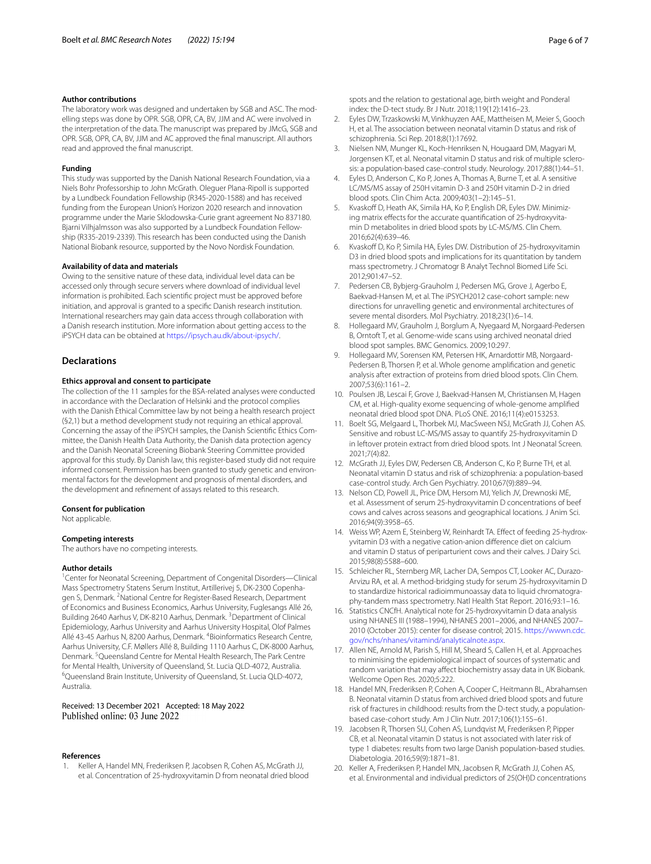#### **Author contributions**

The laboratory work was designed and undertaken by SGB and ASC. The modelling steps was done by OPR. SGB, OPR, CA, BV, JJM and AC were involved in the interpretation of the data. The manuscript was prepared by JMcG, SGB and OPR. SGB, OPR, CA, BV, JJM and AC approved the fnal manuscript. All authors read and approved the fnal manuscript.

#### **Funding**

This study was supported by the Danish National Research Foundation, via a Niels Bohr Professorship to John McGrath. Oleguer Plana-Ripoll is supported by a Lundbeck Foundation Fellowship (R345-2020-1588) and has received funding from the European Union's Horizon 2020 research and innovation programme under the Marie Sklodowska-Curie grant agreement No 837180. Bjarni Vilhjalmsson was also supported by a Lundbeck Foundation Fellowship (R335-2019-2339). This research has been conducted using the Danish National Biobank resource, supported by the Novo Nordisk Foundation.

#### **Availability of data and materials**

Owing to the sensitive nature of these data, individual level data can be accessed only through secure servers where download of individual level information is prohibited. Each scientifc project must be approved before initiation, and approval is granted to a specifc Danish research institution. International researchers may gain data access through collaboration with a Danish research institution. More information about getting access to the iPSYCH data can be obtained at <https://ipsych.au.dk/about-ipsych/>.

#### **Declarations**

#### **Ethics approval and consent to participate**

The collection of the 11 samples for the BSA-related analyses were conducted in accordance with the Declaration of Helsinki and the protocol complies with the Danish Ethical Committee law by not being a health research project (§2,1) but a method development study not requiring an ethical approval. Concerning the assay of the iPSYCH samples, the Danish Scientific Ethics Committee, the Danish Health Data Authority, the Danish data protection agency and the Danish Neonatal Screening Biobank Steering Committee provided approval for this study. By Danish law, this register-based study did not require informed consent. Permission has been granted to study genetic and environmental factors for the development and prognosis of mental disorders, and the development and refnement of assays related to this research.

#### **Consent for publication**

Not applicable.

# **Competing interests**

The authors have no competing interests.

#### **Author details**

<sup>1</sup> Center for Neonatal Screening, Department of Congenital Disorders-Clinical Mass Spectrometry Statens Serum Institut, Artillerivej 5, DK-2300 Copenhagen S, Denmark. <sup>2</sup>National Centre for Register-Based Research, Department of Economics and Business Economics, Aarhus University, Fuglesangs Allé 26, Building 2640 Aarhus V, DK-8210 Aarhus, Denmark. <sup>3</sup> Department of Clinical Epidemiology, Aarhus University and Aarhus University Hospital, Olof Palmes Allé 43-45 Aarhus N, 8200 Aarhus, Denmark. <sup>4</sup> Bioinformatics Research Centre, Aarhus University, C.F. Møllers Allé 8, Building 1110 Aarhus C, DK‑8000 Aarhus, Denmark.<sup>5</sup> Queensland Centre for Mental Health Research, The Park Centre for Mental Health, University of Queensland, St. Lucia QLD-4072, Australia. <sup>6</sup>Queensland Brain Institute, University of Queensland, St. Lucia QLD-4072, Australia.

# Received: 13 December 2021 Accepted: 18 May 2022

#### **References**

<span id="page-5-0"></span>1. Keller A, Handel MN, Frederiksen P, Jacobsen R, Cohen AS, McGrath JJ, et al. Concentration of 25-hydroxyvitamin D from neonatal dried blood spots and the relation to gestational age, birth weight and Ponderal index: the D-tect study. Br J Nutr. 2018;119(12):1416–23.

- <span id="page-5-8"></span>2. Eyles DW, Trzaskowski M, Vinkhuyzen AAE, Mattheisen M, Meier S, Gooch H, et al. The association between neonatal vitamin D status and risk of schizophrenia. Sci Rep. 2018;8(1):17692.
- <span id="page-5-1"></span>3. Nielsen NM, Munger KL, Koch-Henriksen N, Hougaard DM, Magyari M, Jorgensen KT, et al. Neonatal vitamin D status and risk of multiple sclerosis: a population-based case-control study. Neurology. 2017;88(1):44–51.
- <span id="page-5-2"></span>Eyles D, Anderson C, Ko P, Jones A, Thomas A, Burne T, et al. A sensitive LC/MS/MS assay of 250H vitamin D-3 and 250H vitamin D-2 in dried blood spots. Clin Chim Acta. 2009;403(1–2):145–51.
- 5. Kvaskoff D, Heath AK, Simila HA, Ko P, English DR, Eyles DW. Minimizing matrix effects for the accurate quantification of 25-hydroxyvitamin D metabolites in dried blood spots by LC-MS/MS. Clin Chem. 2016;62(4):639–46.
- <span id="page-5-3"></span>Kvaskoff D, Ko P, Simila HA, Eyles DW. Distribution of 25-hydroxyvitamin D3 in dried blood spots and implications for its quantitation by tandem mass spectrometry. J Chromatogr B Analyt Technol Biomed Life Sci. 2012;901:47–52.
- <span id="page-5-4"></span>7. Pedersen CB, Bybjerg-Grauholm J, Pedersen MG, Grove J, Agerbo E, Baekvad-Hansen M, et al. The iPSYCH2012 case-cohort sample: new directions for unravelling genetic and environmental architectures of severe mental disorders. Mol Psychiatry. 2018;23(1):6–14.
- <span id="page-5-5"></span>8. Hollegaard MV, Grauholm J, Borglum A, Nyegaard M, Norgaard-Pedersen B, Orntoft T, et al. Genome-wide scans using archived neonatal dried blood spot samples. BMC Genomics. 2009;10:297.
- <span id="page-5-10"></span>9. Hollegaard MV, Sorensen KM, Petersen HK, Arnardottir MB, Norgaard-Pedersen B, Thorsen P, et al. Whole genome amplifcation and genetic analysis after extraction of proteins from dried blood spots. Clin Chem. 2007;53(6):1161–2.
- <span id="page-5-6"></span>10. Poulsen JB, Lescai F, Grove J, Baekvad-Hansen M, Christiansen M, Hagen CM, et al. High-quality exome sequencing of whole-genome amplifed neonatal dried blood spot DNA. PLoS ONE. 2016;11(4):e0153253.
- <span id="page-5-7"></span>11. Boelt SG, Melgaard L, Thorbek MJ, MacSween NSJ, McGrath JJ, Cohen AS. Sensitive and robust LC-MS/MS assay to quantify 25-hydroxyvitamin D in leftover protein extract from dried blood spots. Int J Neonatal Screen. 2021;7(4):82.
- <span id="page-5-9"></span>12. McGrath JJ, Eyles DW, Pedersen CB, Anderson C, Ko P, Burne TH, et al. Neonatal vitamin D status and risk of schizophrenia: a population-based case-control study. Arch Gen Psychiatry. 2010;67(9):889–94.
- <span id="page-5-11"></span>13. Nelson CD, Powell JL, Price DM, Hersom MJ, Yelich JV, Drewnoski ME, et al. Assessment of serum 25-hydroxyvitamin D concentrations of beef cows and calves across seasons and geographical locations. J Anim Sci. 2016;94(9):3958–65.
- <span id="page-5-12"></span>14. Weiss WP, Azem E, Steinberg W, Reinhardt TA. Effect of feeding 25-hydroxyvitamin D3 with a negative cation-anion diference diet on calcium and vitamin D status of periparturient cows and their calves. J Dairy Sci. 2015;98(8):5588–600.
- <span id="page-5-13"></span>15. Schleicher RL, Sternberg MR, Lacher DA, Sempos CT, Looker AC, Durazo-Arvizu RA, et al. A method-bridging study for serum 25-hydroxyvitamin D to standardize historical radioimmunoassay data to liquid chromatography-tandem mass spectrometry. Natl Health Stat Report. 2016;93:1–16.
- <span id="page-5-14"></span>16. Statistics CNCfH. Analytical note for 25-hydroxyvitamin D data analysis using NHANES III (1988–1994), NHANES 2001–2006, and NHANES 2007– 2010 (October 2015): center for disease control; 2015. [https://wwwn.cdc.](https://wwwn.cdc.gov/nchs/nhanes/vitamind/analyticalnote.aspx) [gov/nchs/nhanes/vitamind/analyticalnote.aspx.](https://wwwn.cdc.gov/nchs/nhanes/vitamind/analyticalnote.aspx)
- <span id="page-5-15"></span>17. Allen NE, Arnold M, Parish S, Hill M, Sheard S, Callen H, et al. Approaches to minimising the epidemiological impact of sources of systematic and random variation that may afect biochemistry assay data in UK Biobank. Wellcome Open Res. 2020;5:222.
- <span id="page-5-16"></span>18. Handel MN, Frederiksen P, Cohen A, Cooper C, Heitmann BL, Abrahamsen B. Neonatal vitamin D status from archived dried blood spots and future risk of fractures in childhood: results from the D-tect study, a populationbased case-cohort study. Am J Clin Nutr. 2017;106(1):155–61.
- <span id="page-5-17"></span>19. Jacobsen R, Thorsen SU, Cohen AS, Lundqvist M, Frederiksen P, Pipper CB, et al. Neonatal vitamin D status is not associated with later risk of type 1 diabetes: results from two large Danish population-based studies. Diabetologia. 2016;59(9):1871–81.
- 20. Keller A, Frederiksen P, Handel MN, Jacobsen R, McGrath JJ, Cohen AS, et al. Environmental and individual predictors of 25(OH)D concentrations